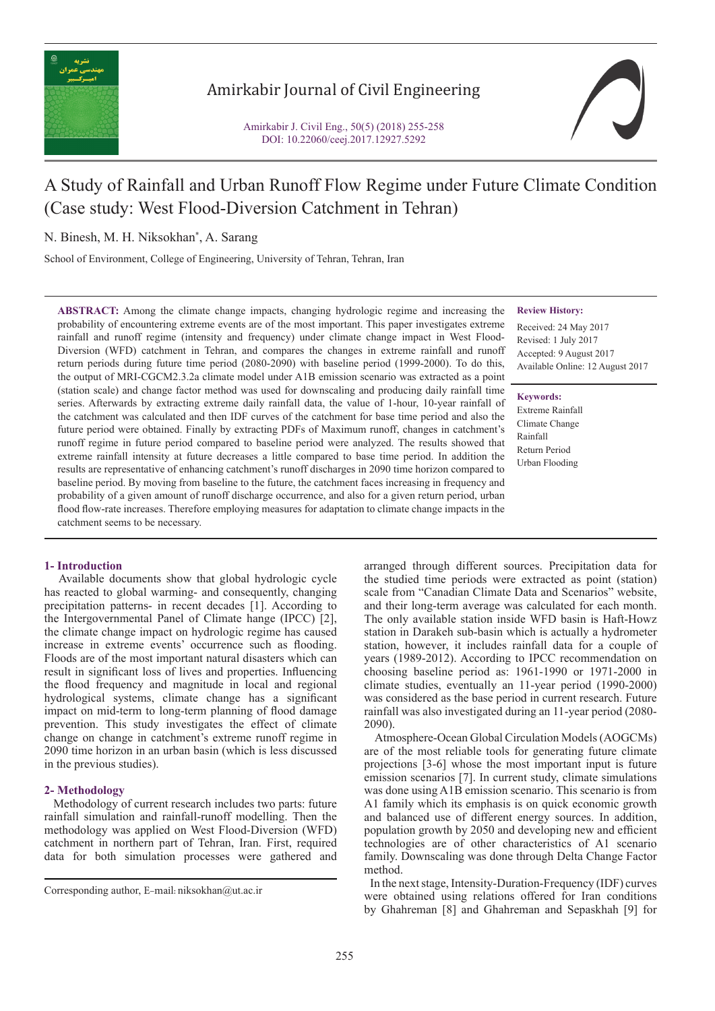

## Amirkabir Journal of Civil Engineering

Amirkabir J. Civil Eng., 50(5) (2018) 255-258 DOI: 10.22060/ceej.2017.12927.5292



# A Study of Rainfall and Urban Runoff Flow Regime under Future Climate Condition (Case study: West Flood-Diversion Catchment in Tehran)

N. Binesh, M. H. Niksokhan\* , A. Sarang

School of Environment, College of Engineering, University of Tehran, Tehran, Iran

**ABSTRACT:** Among the climate change impacts, changing hydrologic regime and increasing the probability of encountering extreme events are of the most important. This paper investigates extreme rainfall and runoff regime (intensity and frequency) under climate change impact in West Flood-Diversion (WFD) catchment in Tehran, and compares the changes in extreme rainfall and runoff return periods during future time period (2080-2090) with baseline period (1999-2000). To do this, the output of MRI-CGCM2.3.2a climate model under A1B emission scenario was extracted as a point (station scale) and change factor method was used for downscaling and producing daily rainfall time series. Afterwards by extracting extreme daily rainfall data, the value of 1-hour, 10-year rainfall of the catchment was calculated and then IDF curves of the catchment for base time period and also the future period were obtained. Finally by extracting PDFs of Maximum runoff, changes in catchment's runoff regime in future period compared to baseline period were analyzed. The results showed that extreme rainfall intensity at future decreases a little compared to base time period. In addition the results are representative of enhancing catchment's runoff discharges in 2090 time horizon compared to baseline period. By moving from baseline to the future, the catchment faces increasing in frequency and probability of a given amount of runoff discharge occurrence, and also for a given return period, urban flood flow-rate increases. Therefore employing measures for adaptation to climate change impacts in the catchment seems to be necessary.

## **1- Introduction**

 Available documents show that global hydrologic cycle has reacted to global warming- and consequently, changing precipitation patterns- in recent decades [1]. According to the Intergovernmental Panel of Climate hange (IPCC) [2], the climate change impact on hydrologic regime has caused increase in extreme events' occurrence such as flooding. Floods are of the most important natural disasters which can result in significant loss of lives and properties. Influencing the flood frequency and magnitude in local and regional hydrological systems, climate change has a significant impact on mid-term to long-term planning of flood damage prevention. This study investigates the effect of climate change on change in catchment's extreme runoff regime in 2090 time horizon in an urban basin (which is less discussed in the previous studies).

## **2- Methodology**

 Methodology of current research includes two parts: future rainfall simulation and rainfall-runoff modelling. Then the methodology was applied on West Flood-Diversion (WFD) catchment in northern part of Tehran, Iran. First, required data for both simulation processes were gathered and

**Review History:**

Received: 24 May 2017 Revised: 1 July 2017 Accepted: 9 August 2017 Available Online: 12 August 2017

**Keywords:** Extreme Rainfall Climate Change Rainfall Return Period Urban Flooding

arranged through different sources. Precipitation data for the studied time periods were extracted as point (station) scale from "Canadian Climate Data and Scenarios" website, and their long-term average was calculated for each month. The only available station inside WFD basin is Haft-Howz station in Darakeh sub-basin which is actually a hydrometer station, however, it includes rainfall data for a couple of years (1989-2012). According to IPCC recommendation on choosing baseline period as: 1961-1990 or 1971-2000 in climate studies, eventually an 11-year period (1990-2000) was considered as the base period in current research. Future rainfall was also investigated during an 11-year period (2080- 2090).

 Atmosphere-Ocean Global Circulation Models (AOGCMs) are of the most reliable tools for generating future climate projections [3-6] whose the most important input is future emission scenarios [7]. In current study, climate simulations was done using A1B emission scenario. This scenario is from A1 family which its emphasis is on quick economic growth and balanced use of different energy sources. In addition, population growth by 2050 and developing new and efficient technologies are of other characteristics of A1 scenario family. Downscaling was done through Delta Change Factor method.

 In the next stage, Intensity-Duration-Frequency (IDF) curves were obtained using relations offered for Iran conditions by Ghahreman [8] and Ghahreman and Sepaskhah [9] for

Corresponding author, E-mail: niksokhan@ut.ac.ir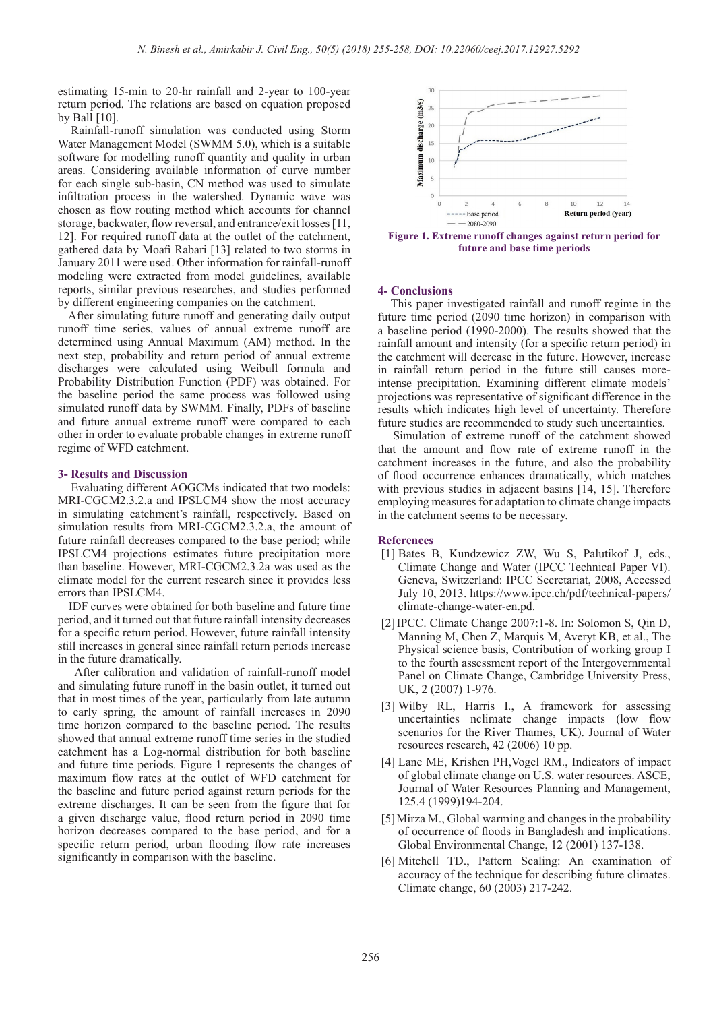estimating 15-min to 20-hr rainfall and 2-year to 100-year return period. The relations are based on equation proposed by Ball [10].

 Rainfall-runoff simulation was conducted using Storm Water Management Model (SWMM 5.0), which is a suitable software for modelling runoff quantity and quality in urban areas. Considering available information of curve number for each single sub-basin, CN method was used to simulate infiltration process in the watershed. Dynamic wave was chosen as flow routing method which accounts for channel storage, backwater, flow reversal, and entrance/exit losses [11, 12]. For required runoff data at the outlet of the catchment, gathered data by Moafi Rabari [13] related to two storms in January 2011 were used. Other information for rainfall-runoff modeling were extracted from model guidelines, available reports, similar previous researches, and studies performed by different engineering companies on the catchment.

 After simulating future runoff and generating daily output runoff time series, values of annual extreme runoff are determined using Annual Maximum (AM) method. In the next step, probability and return period of annual extreme discharges were calculated using Weibull formula and Probability Distribution Function (PDF) was obtained. For the baseline period the same process was followed using simulated runoff data by SWMM. Finally, PDFs of baseline and future annual extreme runoff were compared to each other in order to evaluate probable changes in extreme runoff regime of WFD catchment.

## **3- Results and Discussion**

 Evaluating different AOGCMs indicated that two models: MRI-CGCM2.3.2.a and IPSLCM4 show the most accuracy in simulating catchment's rainfall, respectively. Based on simulation results from MRI-CGCM2.3.2.a, the amount of future rainfall decreases compared to the base period; while IPSLCM4 projections estimates future precipitation more than baseline. However, MRI-CGCM2.3.2a was used as the climate model for the current research since it provides less errors than IPSLCM4.

 IDF curves were obtained for both baseline and future time period, and it turned out that future rainfall intensity decreases for a specific return period. However, future rainfall intensity still increases in general since rainfall return periods increase in the future dramatically.

 After calibration and validation of rainfall-runoff model and simulating future runoff in the basin outlet, it turned out that in most times of the year, particularly from late autumn to early spring, the amount of rainfall increases in 2090 time horizon compared to the baseline period. The results showed that annual extreme runoff time series in the studied catchment has a Log-normal distribution for both baseline and future time periods. Figure 1 represents the changes of maximum flow rates at the outlet of WFD catchment for the baseline and future period against return periods for the extreme discharges. It can be seen from the figure that for a given discharge value, flood return period in 2090 time horizon decreases compared to the base period, and for a specific return period, urban flooding flow rate increases significantly in comparison with the baseline.



**Figure 1. Extreme runoff changes against return period for future and base time periods**

### **4- Conclusions**

 This paper investigated rainfall and runoff regime in the future time period (2090 time horizon) in comparison with a baseline period (1990-2000). The results showed that the rainfall amount and intensity (for a specific return period) in the catchment will decrease in the future. However, increase in rainfall return period in the future still causes moreintense precipitation. Examining different climate models' projections was representative of significant difference in the results which indicates high level of uncertainty. Therefore future studies are recommended to study such uncertainties.

 Simulation of extreme runoff of the catchment showed that the amount and flow rate of extreme runoff in the catchment increases in the future, and also the probability of flood occurrence enhances dramatically, which matches with previous studies in adjacent basins [14, 15]. Therefore employing measures for adaptation to climate change impacts in the catchment seems to be necessary.

### **References**

- [1] Bates B, Kundzewicz ZW, Wu S, Palutikof J, eds., Climate Change and Water (IPCC Technical Paper VI). Geneva, Switzerland: IPCC Secretariat, 2008, Accessed July 10, 2013. https://www.ipcc.ch/pdf/technical-papers/ climate-change-water-en.pd.
- [2]IPCC. Climate Change 2007:1-8. In: Solomon S, Qin D, Manning M, Chen Z, Marquis M, Averyt KB, et al., The Physical science basis, Contribution of working group I to the fourth assessment report of the Intergovernmental Panel on Climate Change, Cambridge University Press, UK, 2 (2007) 1-976.
- [3] Wilby RL, Harris I., A framework for assessing uncertainties nclimate change impacts (low flow scenarios for the River Thames, UK). Journal of Water resources research, 42 (2006) 10 pp.
- [4] Lane ME, Krishen PH,Vogel RM., Indicators of impact of global climate change on U.S. water resources. ASCE, Journal of Water Resources Planning and Management, 125.4 (1999)194-204.
- [5]Mirza M., Global warming and changes in the probability of occurrence of floods in Bangladesh and implications. Global Environmental Change, 12 (2001) 137-138.
- [6] Mitchell TD., Pattern Scaling: An examination of accuracy of the technique for describing future climates. Climate change, 60 (2003) 217-242.